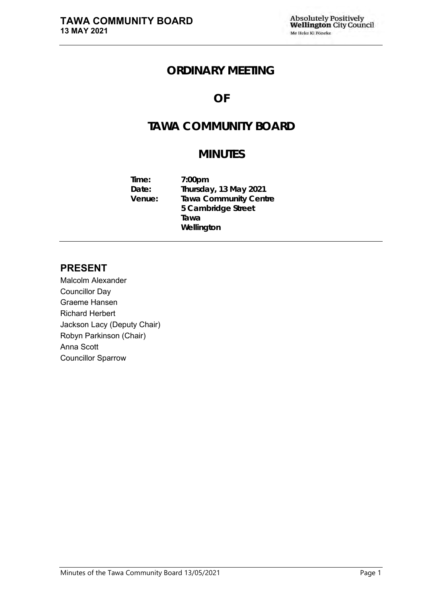# **ORDINARY MEETING**

# **OF**

# **TAWA COMMUNITY BOARD**

# **MINUTES**

**Time: 7:00pm Date: Thursday, 13 May 2021 Venue: Tawa Community Centre 5 Cambridge Street Tawa Wellington**

## **PRESENT**

Malcolm Alexander Councillor Day Graeme Hansen Richard Herbert Jackson Lacy (Deputy Chair) Robyn Parkinson (Chair) Anna Scott Councillor Sparrow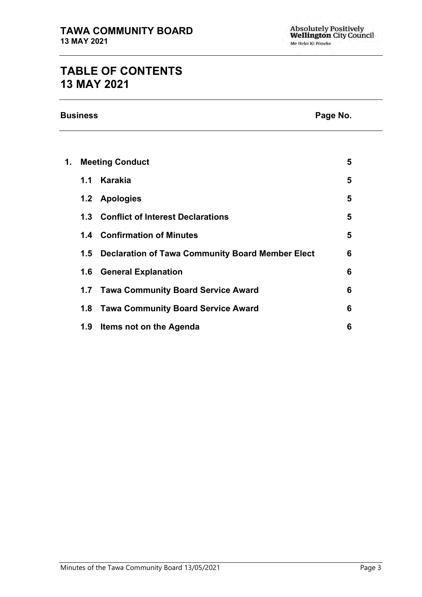# **TABLE OF CONTENTS 13 MAY 2021**

**Business Page No.**

| 1. | <b>Meeting Conduct</b> |                                                      | 5 |
|----|------------------------|------------------------------------------------------|---|
|    | 1.1                    | Karakia                                              | 5 |
|    |                        | 1.2 Apologies                                        | 5 |
|    |                        | 1.3 Conflict of Interest Declarations                | 5 |
|    |                        | 1.4 Confirmation of Minutes                          | 5 |
|    |                        | 1.5 Declaration of Tawa Community Board Member Elect | 6 |
|    |                        | <b>1.6 General Explanation</b>                       | 6 |
|    |                        | 1.7 Tawa Community Board Service Award               | 6 |
|    |                        | 1.8 Tawa Community Board Service Award               | 6 |
|    | 1.9                    | Items not on the Agenda                              | 6 |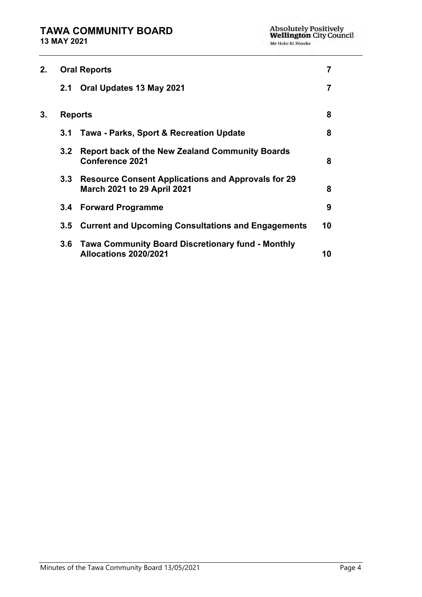| 2. |                  | <b>Oral Reports</b>                                                                             | 7  |
|----|------------------|-------------------------------------------------------------------------------------------------|----|
|    | 2.1              | Oral Updates 13 May 2021                                                                        | 7  |
| 3. |                  | <b>Reports</b>                                                                                  | 8  |
|    | 3.1              | Tawa - Parks, Sport & Recreation Update                                                         | 8  |
|    | 3.2 <sub>2</sub> | <b>Report back of the New Zealand Community Boards</b><br><b>Conference 2021</b>                | 8  |
|    | 3.3 <sub>1</sub> | <b>Resource Consent Applications and Approvals for 29</b><br><b>March 2021 to 29 April 2021</b> | 8  |
|    | $3.4^{\circ}$    | <b>Forward Programme</b>                                                                        | 9  |
|    | $3.5^{\circ}$    | <b>Current and Upcoming Consultations and Engagements</b>                                       | 10 |
|    | 3.6              | <b>Tawa Community Board Discretionary fund - Monthly</b><br><b>Allocations 2020/2021</b>        | 10 |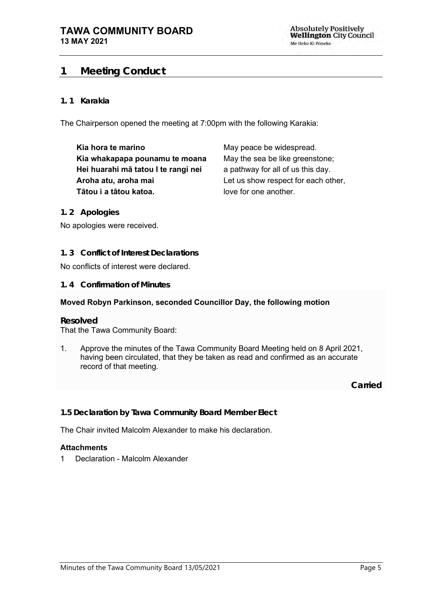## <span id="page-4-0"></span>**1 Meeting Conduct**

#### **1. 1 Karakia**

The Chairperson opened the meeting at 7:00pm with the following Karakia:

**Kia hora te marino Kia whakapapa pounamu te moana Hei huarahi mā tatou I te rangi nei Aroha atu, aroha mai Tātou i a tātou katoa.**

May peace be widespread. May the sea be like greenstone; a pathway for all of us this day. Let us show respect for each other, love for one another.

<span id="page-4-1"></span>**1. 2 Apologies**

No apologies were received.

<span id="page-4-2"></span>**1. 3 Conflict of Interest Declarations**

No conflicts of interest were declared.

<span id="page-4-3"></span>**1. 4 Confirmation of Minutes**

#### **Moved Robyn Parkinson, seconded Councillor Day, the following motion**

#### **Resolved**

That the Tawa Community Board:

1. Approve the minutes of the Tawa Community Board Meeting held on 8 April 2021, having been circulated, that they be taken as read and confirmed as an accurate record of that meeting.

**Carried**

**1.5 Declaration by Tawa Community Board Member Elect**

The Chair invited Malcolm Alexander to make his declaration.

#### **Attachments**

1 Declaration - Malcolm Alexander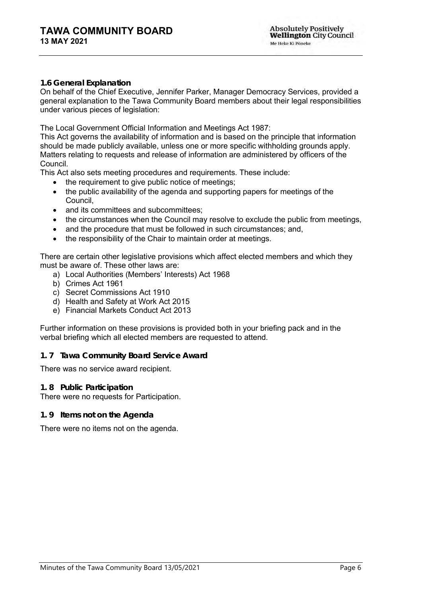#### **1.6 General Explanation**

On behalf of the Chief Executive, Jennifer Parker, Manager Democracy Services, provided a general explanation to the Tawa Community Board members about their legal responsibilities under various pieces of legislation:

The Local Government Official Information and Meetings Act 1987:

This Act governs the availability of information and is based on the principle that information should be made publicly available, unless one or more specific withholding grounds apply. Matters relating to requests and release of information are administered by officers of the Council.

This Act also sets meeting procedures and requirements. These include:

- the requirement to give public notice of meetings;
- the public availability of the agenda and supporting papers for meetings of the Council,
- and its committees and subcommittees:
- the circumstances when the Council may resolve to exclude the public from meetings,
- and the procedure that must be followed in such circumstances; and,
- the responsibility of the Chair to maintain order at meetings.

There are certain other legislative provisions which affect elected members and which they must be aware of. These other laws are:

- a) Local Authorities (Members' Interests) Act 1968
- b) Crimes Act 1961
- c) Secret Commissions Act 1910
- d) Health and Safety at Work Act 2015
- e) Financial Markets Conduct Act 2013

Further information on these provisions is provided both in your briefing pack and in the verbal briefing which all elected members are requested to attend.

#### <span id="page-5-0"></span>**1. 7 Tawa Community Board Service Award**

There was no service award recipient.

#### <span id="page-5-1"></span>**1. 8 Public Participation**

There were no requests for Participation.

<span id="page-5-2"></span>**1. 9 Items not on the Agenda**

There were no items not on the agenda.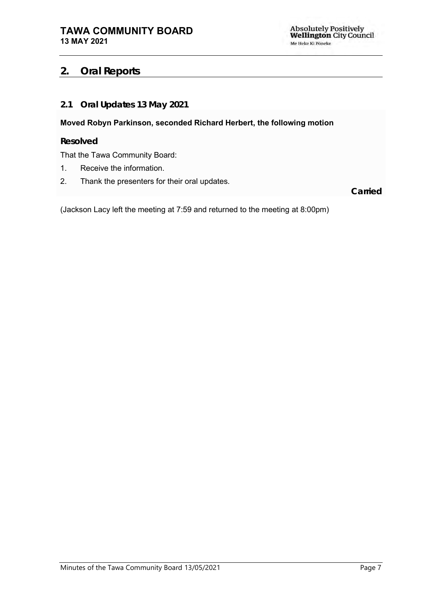## <span id="page-6-0"></span>**2. Oral Reports**

## <span id="page-6-1"></span>**2.1 Oral Updates 13 May 2021**

**Moved Robyn Parkinson, seconded Richard Herbert, the following motion**

**Resolved**

That the Tawa Community Board:

- 1. Receive the information.
- 2. Thank the presenters for their oral updates.

**Carried**

(Jackson Lacy left the meeting at 7:59 and returned to the meeting at 8:00pm)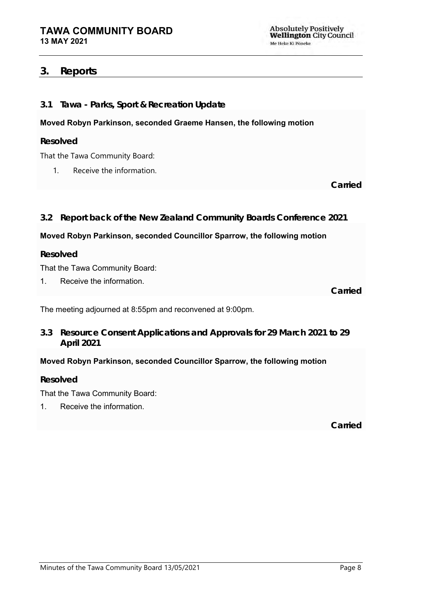**Absolutely Positively<br>Wellington City Council** Me Heke Ki Pöneke

## <span id="page-7-0"></span>**3. Reports**

<span id="page-7-2"></span><span id="page-7-1"></span>

| Tawa - Parks, Sport & Recreation Update<br>3.1                                           |         |  |  |  |
|------------------------------------------------------------------------------------------|---------|--|--|--|
| Moved Robyn Parkinson, seconded Graeme Hansen, the following motion                      |         |  |  |  |
| Resolved                                                                                 |         |  |  |  |
| That the Tawa Community Board:                                                           |         |  |  |  |
| Receive the information.<br>1.                                                           |         |  |  |  |
|                                                                                          | Carried |  |  |  |
|                                                                                          |         |  |  |  |
| Report back of the New Zealand Community Boards Conference 2021<br>3.2                   |         |  |  |  |
| Moved Robyn Parkinson, seconded Councillor Sparrow, the following motion                 |         |  |  |  |
|                                                                                          |         |  |  |  |
| Resolved                                                                                 |         |  |  |  |
| That the Tawa Community Board:                                                           |         |  |  |  |
| Receive the information.<br>1.                                                           |         |  |  |  |
|                                                                                          | Carried |  |  |  |
| The meeting adjourned at 8:55pm and reconvened at 9:00pm.                                |         |  |  |  |
| Resource Consent Applications and Approvals for 29 March 2021 to 29<br>3.3<br>April 2021 |         |  |  |  |

<span id="page-7-3"></span>**Resolved**

That the Tawa Community Board:

1. Receive the information.

**Carried**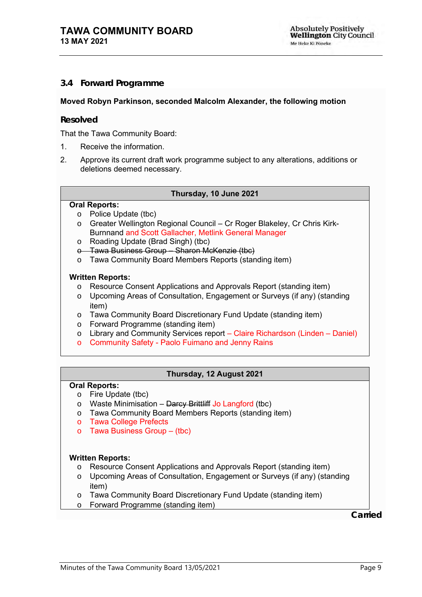#### <span id="page-8-0"></span>**3.4 Forward Programme**

#### **Moved Robyn Parkinson, seconded Malcolm Alexander, the following motion**

#### **Resolved**

That the Tawa Community Board:

- 1. Receive the information.
- 2. Approve its current draft work programme subject to any alterations, additions or deletions deemed necessary.

#### **Thursday, 10 June 2021**

#### **Oral Reports:**

- o Police Update (tbc)
- o Greater Wellington Regional Council Cr Roger Blakeley, Cr Chris Kirk-Burnnand and Scott Gallacher, Metlink General Manager
- o Roading Update (Brad Singh) (tbc)
- o Tawa Business Group Sharon McKenzie (tbc)
- o Tawa Community Board Members Reports (standing item)

#### **Written Reports:**

- o Resource Consent Applications and Approvals Report (standing item)
- o Upcoming Areas of Consultation, Engagement or Surveys (if any) (standing item)
- o Tawa Community Board Discretionary Fund Update (standing item)
- o Forward Programme (standing item)
- o Library and Community Services report Claire Richardson (Linden Daniel)
- o Community Safety Paolo Fuimano and Jenny Rains

#### **Thursday, 12 August 2021**

#### **Oral Reports:**

- o Fire Update (tbc)
- $\circ$  Waste Minimisation Darcy Brittliff Jo Langford (tbc)
- o Tawa Community Board Members Reports (standing item)
- o Tawa College Prefects
- o Tawa Business Group (tbc)

#### **Written Reports:**

- o Resource Consent Applications and Approvals Report (standing item)
- o Upcoming Areas of Consultation, Engagement or Surveys (if any) (standing item)
- o Tawa Community Board Discretionary Fund Update (standing item)
- o Forward Programme (standing item)

**Carried**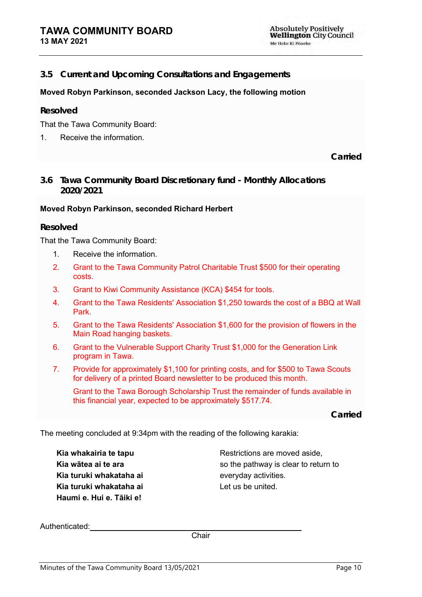#### <span id="page-9-0"></span>**3.5 Current and Upcoming Consultations and Engagements**

#### **Moved Robyn Parkinson, seconded Jackson Lacy, the following motion**

#### **Resolved**

That the Tawa Community Board:

1. Receive the information.

**Carried**

<span id="page-9-1"></span>**3.6 Tawa Community Board Discretionary fund - Monthly Allocations 2020/2021**

#### **Moved Robyn Parkinson, seconded Richard Herbert**

#### **Resolved**

That the Tawa Community Board:

- 1. Receive the information.
- 2. Grant to the Tawa Community Patrol Charitable Trust \$500 for their operating costs.
- 3. Grant to Kiwi Community Assistance (KCA) \$454 for tools.
- 4. Grant to the Tawa Residents' Association \$1,250 towards the cost of a BBQ at Wall Park.
- 5. Grant to the Tawa Residents' Association \$1,600 for the provision of flowers in the Main Road hanging baskets.
- 6. Grant to the Vulnerable Support Charity Trust \$1,000 for the Generation Link program in Tawa.
- 7. Provide for approximately \$1,100 for printing costs, and for \$500 to Tawa Scouts for delivery of a printed Board newsletter to be produced this month.

Grant to the Tawa Borough Scholarship Trust the remainder of funds available in this financial year, expected to be approximately \$517.74.

**Carried**

The meeting concluded at 9:34pm with the reading of the following karakia:

**Kia whakairia te tapu Kia wātea ai te ara Kia turuki whakataha ai Kia turuki whakataha ai Haumi e. Hui e. Tāiki e!**

Restrictions are moved aside, so the pathway is clear to return to everyday activities. Let us be united.

Authenticated:

**Chair**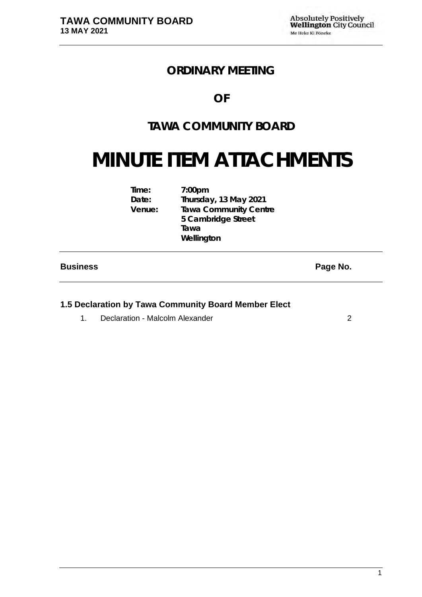# **ORDINARY MEETING**

## **OF**

# **TAWA COMMUNITY BOARD**

# **MINUTE ITEM ATTACHMENTS**

| $7:00$ pm                    |
|------------------------------|
| Thursday, 13 May 2021        |
| <b>Tawa Community Centre</b> |
| 5 Cambridge Street           |
| Tawa                         |
| Wellington                   |
|                              |

## **Business Page No.**

## **1.5 Declaration by Tawa Community Board Member Elect**

1. Declaration - Malcolm Alexander [2](#page-11-0)008 2009 2009